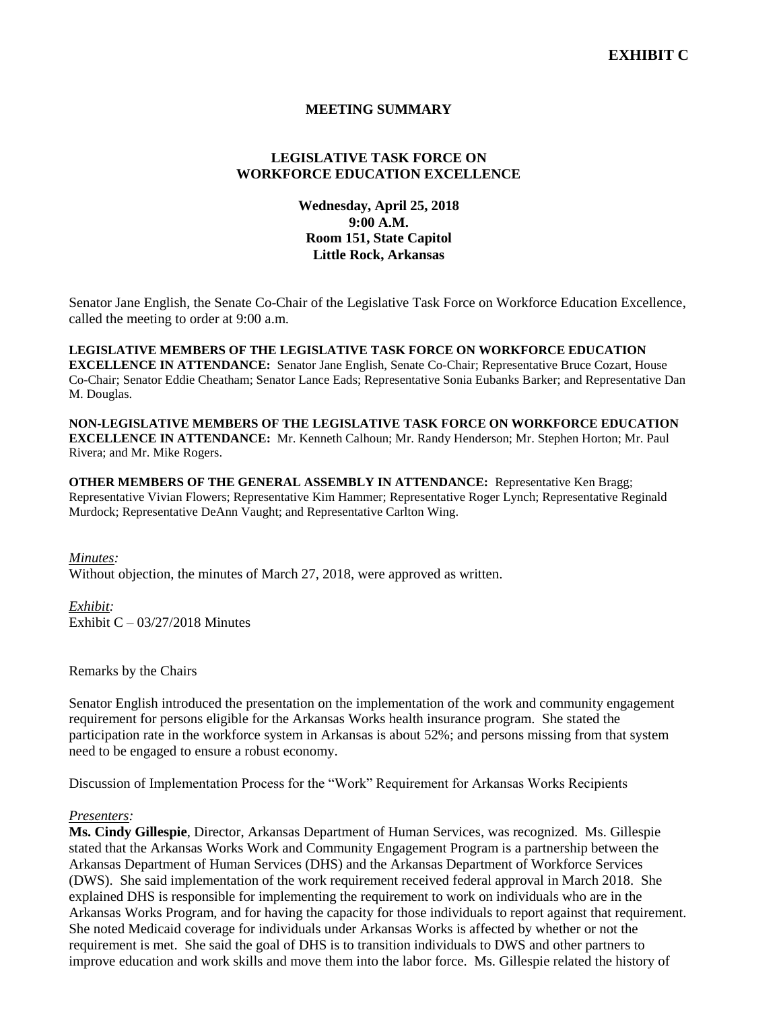# **MEETING SUMMARY**

# **LEGISLATIVE TASK FORCE ON WORKFORCE EDUCATION EXCELLENCE**

# **Wednesday, April 25, 2018 9:00 A.M. Room 151, State Capitol Little Rock, Arkansas**

Senator Jane English, the Senate Co-Chair of the Legislative Task Force on Workforce Education Excellence, called the meeting to order at 9:00 a.m.

**LEGISLATIVE MEMBERS OF THE LEGISLATIVE TASK FORCE ON WORKFORCE EDUCATION EXCELLENCE IN ATTENDANCE:** Senator Jane English, Senate Co-Chair; Representative Bruce Cozart, House Co-Chair; Senator Eddie Cheatham; Senator Lance Eads; Representative Sonia Eubanks Barker; and Representative Dan M. Douglas.

**NON-LEGISLATIVE MEMBERS OF THE LEGISLATIVE TASK FORCE ON WORKFORCE EDUCATION EXCELLENCE IN ATTENDANCE:** Mr. Kenneth Calhoun; Mr. Randy Henderson; Mr. Stephen Horton; Mr. Paul Rivera; and Mr. Mike Rogers.

**OTHER MEMBERS OF THE GENERAL ASSEMBLY IN ATTENDANCE:** Representative Ken Bragg; Representative Vivian Flowers; Representative Kim Hammer; Representative Roger Lynch; Representative Reginald Murdock; Representative DeAnn Vaught; and Representative Carlton Wing.

#### *Minutes:*

Without objection, the minutes of March 27, 2018, were approved as written.

*Exhibit:* Exhibit  $C - 03/27/2018$  Minutes

Remarks by the Chairs

Senator English introduced the presentation on the implementation of the work and community engagement requirement for persons eligible for the Arkansas Works health insurance program. She stated the participation rate in the workforce system in Arkansas is about 52%; and persons missing from that system need to be engaged to ensure a robust economy.

Discussion of Implementation Process for the "Work" Requirement for Arkansas Works Recipients

#### *Presenters:*

**Ms. Cindy Gillespie**, Director, Arkansas Department of Human Services, was recognized. Ms. Gillespie stated that the Arkansas Works Work and Community Engagement Program is a partnership between the Arkansas Department of Human Services (DHS) and the Arkansas Department of Workforce Services (DWS). She said implementation of the work requirement received federal approval in March 2018. She explained DHS is responsible for implementing the requirement to work on individuals who are in the Arkansas Works Program, and for having the capacity for those individuals to report against that requirement. She noted Medicaid coverage for individuals under Arkansas Works is affected by whether or not the requirement is met. She said the goal of DHS is to transition individuals to DWS and other partners to improve education and work skills and move them into the labor force. Ms. Gillespie related the history of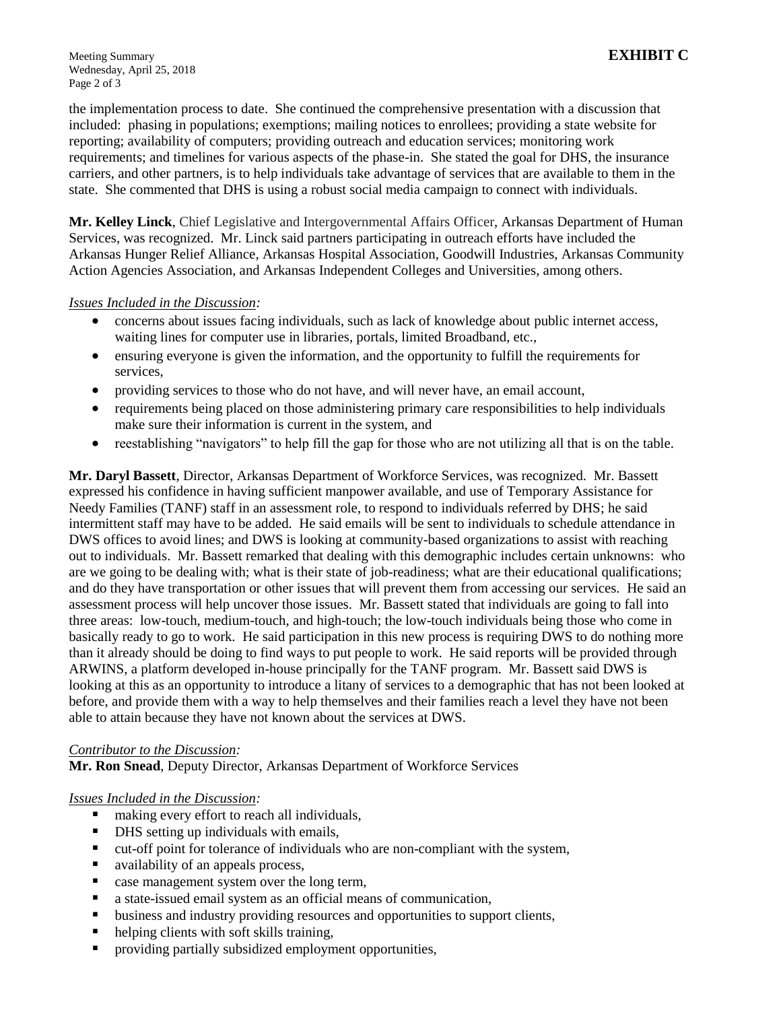Meeting Summary **EXHIBIT C** Wednesday, April 25, 2018 Page 2 of 3

the implementation process to date. She continued the comprehensive presentation with a discussion that included: phasing in populations; exemptions; mailing notices to enrollees; providing a state website for reporting; availability of computers; providing outreach and education services; monitoring work requirements; and timelines for various aspects of the phase-in. She stated the goal for DHS, the insurance carriers, and other partners, is to help individuals take advantage of services that are available to them in the state. She commented that DHS is using a robust social media campaign to connect with individuals.

**Mr. Kelley Linck**, Chief Legislative and Intergovernmental Affairs Officer, Arkansas Department of Human Services, was recognized. Mr. Linck said partners participating in outreach efforts have included the Arkansas Hunger Relief Alliance, Arkansas Hospital Association, Goodwill Industries, Arkansas Community Action Agencies Association, and Arkansas Independent Colleges and Universities, among others.

### *Issues Included in the Discussion:*

- concerns about issues facing individuals, such as lack of knowledge about public internet access, waiting lines for computer use in libraries, portals, limited Broadband, etc.,
- ensuring everyone is given the information, and the opportunity to fulfill the requirements for services,
- providing services to those who do not have, and will never have, an email account,
- requirements being placed on those administering primary care responsibilities to help individuals make sure their information is current in the system, and
- reestablishing "navigators" to help fill the gap for those who are not utilizing all that is on the table.

**Mr. Daryl Bassett**, Director, Arkansas Department of Workforce Services, was recognized. Mr. Bassett expressed his confidence in having sufficient manpower available, and use of Temporary Assistance for Needy Families (TANF) staff in an assessment role, to respond to individuals referred by DHS; he said intermittent staff may have to be added. He said emails will be sent to individuals to schedule attendance in DWS offices to avoid lines; and DWS is looking at community-based organizations to assist with reaching out to individuals. Mr. Bassett remarked that dealing with this demographic includes certain unknowns: who are we going to be dealing with; what is their state of job-readiness; what are their educational qualifications; and do they have transportation or other issues that will prevent them from accessing our services. He said an assessment process will help uncover those issues. Mr. Bassett stated that individuals are going to fall into three areas: low-touch, medium-touch, and high-touch; the low-touch individuals being those who come in basically ready to go to work. He said participation in this new process is requiring DWS to do nothing more than it already should be doing to find ways to put people to work. He said reports will be provided through ARWINS, a platform developed in-house principally for the TANF program. Mr. Bassett said DWS is looking at this as an opportunity to introduce a litany of services to a demographic that has not been looked at before, and provide them with a way to help themselves and their families reach a level they have not been able to attain because they have not known about the services at DWS.

### *Contributor to the Discussion:*

**Mr. Ron Snead**, Deputy Director, Arkansas Department of Workforce Services

### *Issues Included in the Discussion:*

- making every effort to reach all individuals,
- DHS setting up individuals with emails,
- cut-off point for tolerance of individuals who are non-compliant with the system,
- availability of an appeals process,
- **Example 2** case management system over the long term,
- a state-issued email system as an official means of communication,
- **EXECUTE:** business and industry providing resources and opportunities to support clients,
- helping clients with soft skills training,
- **Peroviding partially subsidized employment opportunities,**